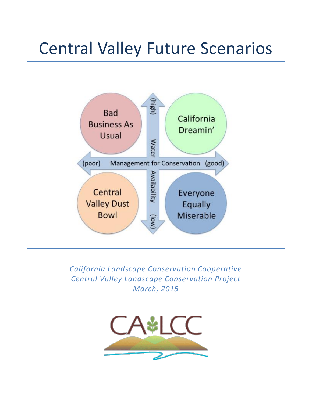# Central Valley Future Scenarios



*California Landscape Conservation Cooperative Central Valley Landscape Conservation Project March, 2015*

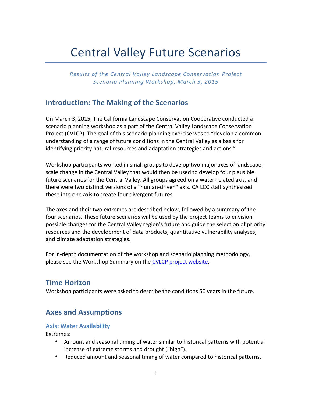# **Central Valley Future Scenarios**

*Results'of'the'Central'Valley'Landscape'Conservation'Project Scenario'Planning'Workshop,'March'3,'2015*

# **Introduction: The Making of the Scenarios**

On March 3, 2015, The California Landscape Conservation Cooperative conducted a scenario planning workshop as a part of the Central Valley Landscape Conservation Project (CVLCP). The goal of this scenario planning exercise was to "develop a common" understanding of a range of future conditions in the Central Valley as a basis for identifying priority natural resources and adaptation strategies and actions."

Workshop participants worked in small groups to develop two major axes of landscapescale change in the Central Valley that would then be used to develop four plausible future scenarios for the Central Valley. All groups agreed on a water-related axis, and there were two distinct versions of a "human-driven" axis. CA LCC staff synthesized these into one axis to create four divergent futures.

The axes and their two extremes are described below, followed by a summary of the four scenarios. These future scenarios will be used by the project teams to envision possible changes for the Central Valley region's future and guide the selection of priority resources and the development of data products, quantitative vulnerability analyses, and climate adaptation strategies.

For in-depth documentation of the workshop and scenario planning methodology, please see the Workshop Summary on the CVLCP project website.

## **Time+Horizon**

Workshop participants were asked to describe the conditions 50 years in the future.

# **Axes+and+Assumptions**

#### **Axis: Water Availability**

Extremes:

- Amount and seasonal timing of water similar to historical patterns with potential increase of extreme storms and drought ("high").
- Reduced amount and seasonal timing of water compared to historical patterns,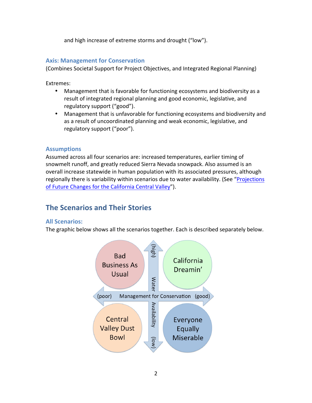and high increase of extreme storms and drought ("low").

#### **Axis: Management for Conservation**

(Combines Societal Support for Project Objectives, and Integrated Regional Planning)

Extremes:

- Management that is favorable for functioning ecosystems and biodiversity as a result of integrated regional planning and good economic, legislative, and regulatory support ("good").
- Management that is unfavorable for functioning ecosystems and biodiversity and as a result of uncoordinated planning and weak economic, legislative, and regulatory support ("poor").

#### **Assumptions**

Assumed across all four scenarios are: increased temperatures, earlier timing of snowmelt runoff, and greatly reduced Sierra Nevada snowpack. Also assumed is an overall increase statewide in human population with its associated pressures, although regionally there is variability within scenarios due to water availability. (See "Projections" of Future Changes for the California Central Valley").

# **The Scenarios and Their Stories**

#### **All+Scenarios:**

The graphic below shows all the scenarios together. Each is described separately below.

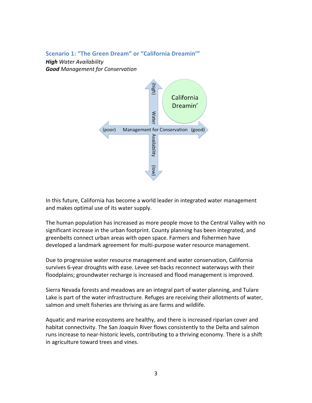#### **Scenario 1: "The Green Dream" or "California Dreamin'"**

**High** Water Availability *Good Management'for'Conservation*



In this future, California has become a world leader in integrated water management and makes optimal use of its water supply.

The human population has increased as more people move to the Central Valley with no significant increase in the urban footprint. County planning has been integrated, and greenbelts connect urban areas with open space. Farmers and fishermen have developed a landmark agreement for multi-purpose water resource management.

Due to progressive water resource management and water conservation, California survives 6-year droughts with ease. Levee set-backs reconnect waterways with their floodplains; groundwater recharge is increased and flood management is improved.

Sierra Nevada forests and meadows are an integral part of water planning, and Tulare Lake is part of the water infrastructure. Refuges are receiving their allotments of water, salmon and smelt fisheries are thriving as are farms and wildlife.

Aquatic and marine ecosystems are healthy, and there is increased riparian cover and habitat connectivity. The San Joaquin River flows consistently to the Delta and salmon runs increase to near-historic levels, contributing to a thriving economy. There is a shift in agriculture toward trees and vines.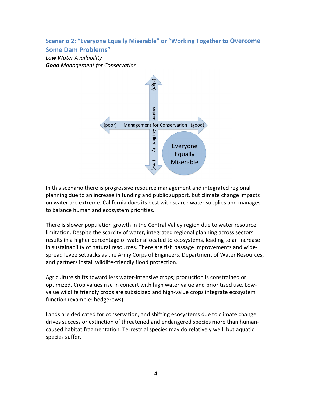### **Scenario 2: "Everyone Equally Miserable" or "Working Together to Overcome**

#### **Some+Dam+Problems"**

**Low** Water Availability **Good** Management for Conservation



In this scenario there is progressive resource management and integrated regional planning due to an increase in funding and public support, but climate change impacts on water are extreme. California does its best with scarce water supplies and manages to balance human and ecosystem priorities.

There is slower population growth in the Central Valley region due to water resource limitation. Despite the scarcity of water, integrated regional planning across sectors results in a higher percentage of water allocated to ecosystems, leading to an increase in sustainability of natural resources. There are fish passage improvements and widespread levee setbacks as the Army Corps of Engineers, Department of Water Resources, and partners install wildlife-friendly flood protection.

Agriculture shifts toward less water-intensive crops; production is constrained or optimized. Crop values rise in concert with high water value and prioritized use. Lowvalue wildlife friendly crops are subsidized and high-value crops integrate ecosystem function (example: hedgerows).

Lands are dedicated for conservation, and shifting ecosystems due to climate change drives success or extinction of threatened and endangered species more than humancaused habitat fragmentation. Terrestrial species may do relatively well, but aquatic species suffer.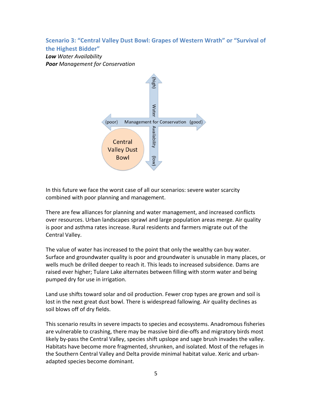#### Scenario 3: "Central Valley Dust Bowl: Grapes of Western Wrath" or "Survival of **the+Highest+Bidder"**

**Low** Water Availability **Poor** Management for Conservation



In this future we face the worst case of all our scenarios: severe water scarcity combined with poor planning and management.

There are few alliances for planning and water management, and increased conflicts over resources. Urban landscapes sprawl and large population areas merge. Air quality is poor and asthma rates increase. Rural residents and farmers migrate out of the Central Valley.

The value of water has increased to the point that only the wealthy can buy water. Surface and groundwater quality is poor and groundwater is unusable in many places, or wells much be drilled deeper to reach it. This leads to increased subsidence. Dams are raised ever higher; Tulare Lake alternates between filling with storm water and being pumped dry for use in irrigation.

Land use shifts toward solar and oil production. Fewer crop types are grown and soil is lost in the next great dust bowl. There is widespread fallowing. Air quality declines as soil blows off of dry fields.

This scenario results in severe impacts to species and ecosystems. Anadromous fisheries are vulnerable to crashing, there may be massive bird die-offs and migratory birds most likely by-pass the Central Valley, species shift upslope and sage brush invades the valley. Habitats have become more fragmented, shrunken, and isolated. Most of the refuges in the Southern Central Valley and Delta provide minimal habitat value. Xeric and urbanadapted species become dominant.